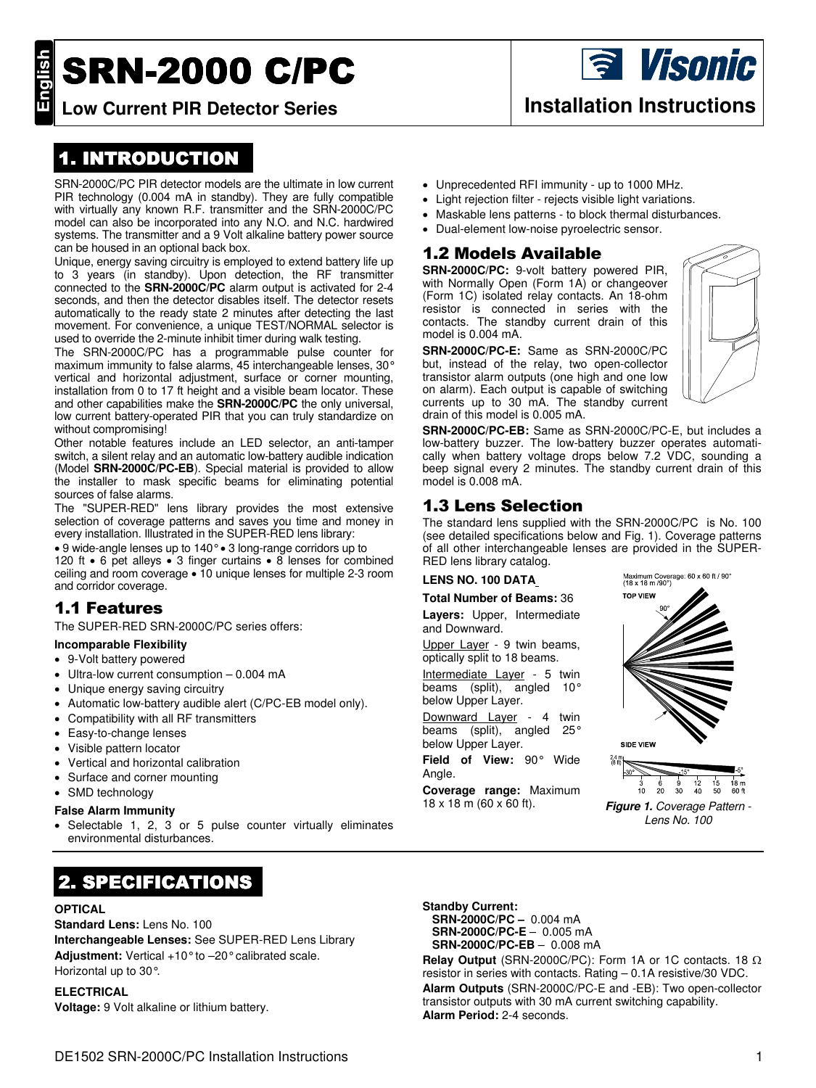# **SRN-2000 C/PC**

## 1. INTRODUCTION

SRN-2000C/PC PIR detector models are the ultimate in low current PIR technology (0.004 mA in standby). They are fully compatible with virtually any known R.F. transmitter and the SRN-2000C/PC model can also be incorporated into any N.O. and N.C. hardwired systems. The transmitter and a 9 Volt alkaline battery power source can be housed in an optional back box.

Unique, energy saving circuitry is employed to extend battery life up to 3 years (in standby). Upon detection, the RF transmitter connected to the **SRN-2000C/PC** alarm output is activated for 2-4 seconds, and then the detector disables itself. The detector resets automatically to the ready state 2 minutes after detecting the last movement. For convenience, a unique TEST/NORMAL selector is used to override the 2-minute inhibit timer during walk testing.

The SRN-2000C/PC has a programmable pulse counter for maximum immunity to false alarms, 45 interchangeable lenses, 30° vertical and horizontal adjustment, surface or corner mounting, installation from 0 to 17 ft height and a visible beam locator. These and other capabilities make the **SRN-2000C/PC** the only universal, low current battery-operated PIR that you can truly standardize on without compromising!

Other notable features include an LED selector, an anti-tamper switch, a silent relay and an automatic low-battery audible indication (Model **SRN-2000C/PC-EB**). Special material is provided to allow the installer to mask specific beams for eliminating potential sources of false alarms.

The "SUPER-RED" lens library provides the most extensive selection of coverage patterns and saves you time and money in every installation. Illustrated in the SUPER-RED lens library:

• 9 wide-angle lenses up to 140° • 3 long-range corridors up to 120 ft • 6 pet alleys • 3 finger curtains • 8 lenses for combined ceiling and room coverage • 10 unique lenses for multiple 2-3 room and corridor coverage.

## 1.1 Features

The SUPER-RED SRN-2000C/PC series offers:

## **Incomparable Flexibility**

- 9-Volt battery powered
- Ultra-low current consumption 0.004 mA
- Unique energy saving circuitry
- Automatic low-battery audible alert (C/PC-EB model only).
- Compatibility with all RF transmitters
- Easy-to-change lenses
- Visible pattern locator
- Vertical and horizontal calibration
- Surface and corner mounting
- SMD technology

## **False Alarm Immunity**

Selectable 1, 2, 3 or 5 pulse counter virtually eliminates environmental disturbances.

## 2. SPECIFICATIONS

## **OPTICAL**

## **Standard Lens:** Lens No. 100

**Interchangeable Lenses:** See SUPER-RED Lens Library **Adjustment:** Vertical +10° to –20° calibrated scale. Horizontal up to 30°.

## **ELECTRICAL**

**Voltage:** 9 Volt alkaline or lithium battery.

- Unprecedented RFI immunity up to 1000 MHz.
- Light rejection filter rejects visible light variations.
- Maskable lens patterns to block thermal disturbances.
- Dual-element low-noise pyroelectric sensor.

## 1.2 Models Available

**SRN-2000C/PC:** 9-volt battery powered PIR, with Normally Open (Form 1A) or changeover (Form 1C) isolated relay contacts. An 18-ohm resistor is connected in series with the contacts. The standby current drain of this model is 0.004 mA.

**SRN-2000C/PC-E:** Same as SRN-2000C/PC but, instead of the relay, two open-collector transistor alarm outputs (one high and one low on alarm). Each output is capable of switching currents up to 30 mA. The standby current drain of this model is 0.005 mA.



**SRN-2000C/PC-EB:** Same as SRN-2000C/PC-E, but includes a low-battery buzzer. The low-battery buzzer operates automatically when battery voltage drops below 7.2 VDC, sounding a beep signal every 2 minutes. The standby current drain of this model is 0.008 mA.

## 1.3 Lens Selection

The standard lens supplied with the SRN-2000C/PC is No. 100 (see detailed specifications below and Fig. 1). Coverage patterns of all other interchangeable lenses are provided in the SUPER-RED lens library catalog.

## **LENS NO. 100 DATA**

## **Total Number of Beams:** 36

**Layers:** Upper, Intermediate and Downward.

Upper Layer - 9 twin beams, optically split to 18 beams.

Intermediate Layer - 5 twin beams (split), angled 10° below Upper Layer.

Downward Layer - 4 twin beams (split), angled 25° below Upper Layer.

**Field of View:** 90° Wide Angle.

**Coverage range:** Maximum



Lens No. 100

**Standby Current: SRN-2000C/PC –** 0.004 mA **SRN-2000C/PC-E** – 0.005 mA **SRN-2000C/PC-EB** – 0.008 mA

**Relay Output** (SRN-2000C/PC): Form 1A or 1C contacts. 18 Ω resistor in series with contacts. Rating – 0.1A resistive/30 VDC. **Alarm Outputs** (SRN-2000C/PC-E and -EB): Two open-collector transistor outputs with 30 mA current switching capability. **Alarm Period:** 2-4 seconds.

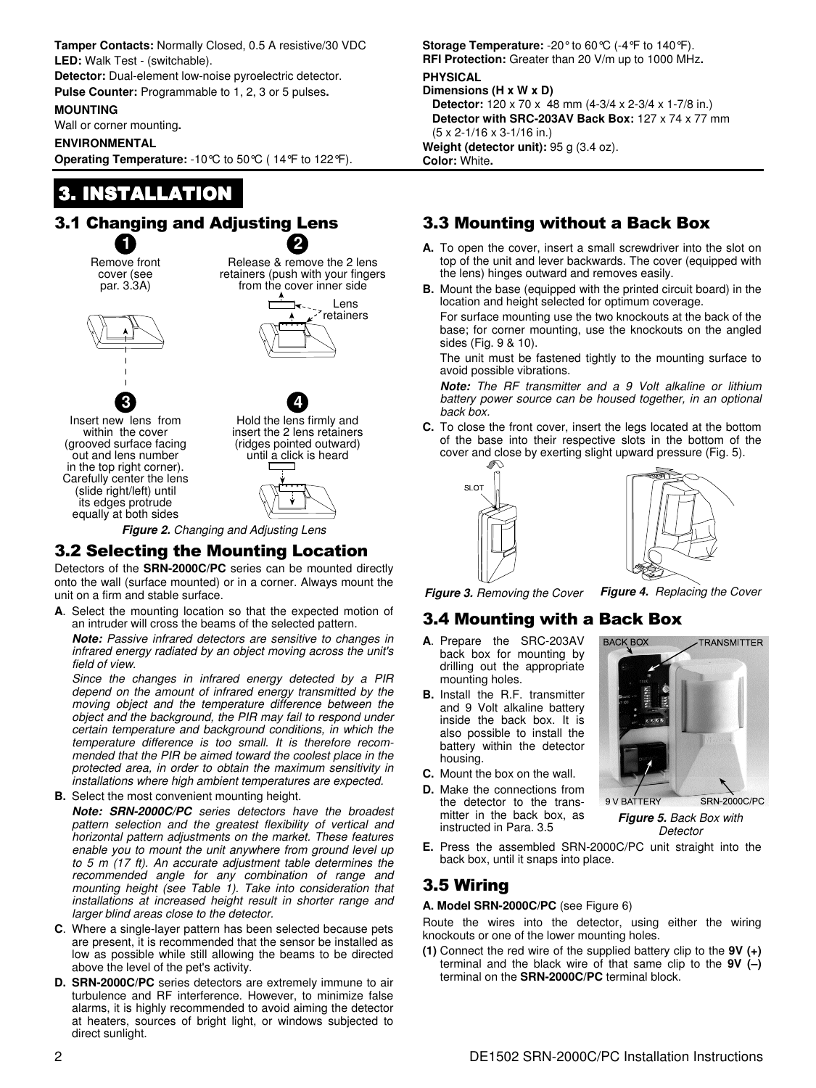**Tamper Contacts:** Normally Closed, 0.5 A resistive/30 VDC **LED:** Walk Test - (switchable).

**Detector:** Dual-element low-noise pyroelectric detector. **Pulse Counter:** Programmable to 1, 2, 3 or 5 pulses**.** 

### **MOUNTING**

Wall or corner mounting**.** 

#### **ENVIRONMENTAL**

**Operating Temperature:** -10°C to 50°C ( 14°F to 122°F).

## 3. INSTALLATION

#### 3.1 Changing and Adjusting Lens **1 2**

Remove front cover (see par. 3.3A)

Release & remove the 2 lens retainers (push with your fingers from the cover inner side



Lens retainers

**3** Insert new lens from within the cover (grooved surface facing out and lens number in the top right corner). Carefully center the lens (slide right/left) until its edges protrude equally at both sides

**4** Hold the lens firmly and insert the 2 lens retainers (ridges pointed outward) until a click is heard



**Figure 2.** Changing and Adjusting Lens

## 3.2 Selecting the Mounting Location

Detectors of the **SRN-2000C/PC** series can be mounted directly onto the wall (surface mounted) or in a corner. Always mount the unit on a firm and stable surface.

**A**. Select the mounting location so that the expected motion of an intruder will cross the beams of the selected pattern.

**Note:** Passive infrared detectors are sensitive to changes in infrared energy radiated by an object moving across the unit's field of view.

Since the changes in infrared energy detected by a PIR depend on the amount of infrared energy transmitted by the moving object and the temperature difference between the object and the background, the PIR may fail to respond under certain temperature and background conditions, in which the temperature difference is too small. It is therefore recommended that the PIR be aimed toward the coolest place in the protected area, in order to obtain the maximum sensitivity in installations where high ambient temperatures are expected.

**B.** Select the most convenient mounting height.

**Note: SRN-2000C/PC** series detectors have the broadest pattern selection and the greatest flexibility of vertical and horizontal pattern adjustments on the market. These features enable you to mount the unit anywhere from ground level up to 5 m (17 ft). An accurate adjustment table determines the recommended angle for any combination of range and mounting height (see Table 1). Take into consideration that installations at increased height result in shorter range and larger blind areas close to the detector.

- **C**. Where a single-layer pattern has been selected because pets are present, it is recommended that the sensor be installed as low as possible while still allowing the beams to be directed above the level of the pet's activity.
- **D. SRN-2000C/PC** series detectors are extremely immune to air turbulence and RF interference. However, to minimize false alarms, it is highly recommended to avoid aiming the detector at heaters, sources of bright light, or windows subjected to direct sunlight.

**Storage Temperature:** -20° to 60°C (-4°F to 140°F). **RFI Protection:** Greater than 20 V/m up to 1000 MHz**. PHYSICAL** 

#### **Dimensions (H x W x D)**

**Detector:** 120 x 70 x 48 mm (4-3/4 x 2-3/4 x 1-7/8 in.) **Detector with SRC-203AV Back Box: 127 x 74 x 77 mm**  (5 x 2-1/16 x 3-1/16 in.) **Weight (detector unit):** 95 g (3.4 oz). **Color:** White**.** 

## 3.3 Mounting without a Back Box

- **A.** To open the cover, insert a small screwdriver into the slot on top of the unit and lever backwards. The cover (equipped with the lens) hinges outward and removes easily.
- **B.** Mount the base (equipped with the printed circuit board) in the location and height selected for optimum coverage.

 For surface mounting use the two knockouts at the back of the base; for corner mounting, use the knockouts on the angled sides (Fig. 9 & 10).

 The unit must be fastened tightly to the mounting surface to avoid possible vibrations.

**Note:** The RF transmitter and a 9 Volt alkaline or lithium battery power source can be housed together, in an optional back box.

**C.** To close the front cover, insert the legs located at the bottom of the base into their respective slots in the bottom of the cover and close by exerting slight upward pressure (Fig. 5).





**Figure 3.** Removing the Cover **Figure 4.** Replacing the Cover

## 3.4 Mounting with a Back Box

- **A**. Prepare the SRC-203AV back box for mounting by drilling out the appropriate mounting holes.
- **B.** Install the R.F. transmitter and 9 Volt alkaline battery inside the back box. It is also possible to install the battery within the detector housing.
- **C.** Mount the box on the wall.
- **D.** Make the connections from the detector to the transmitter in the back box, as instructed in Para. 3.5





**9 V RATTERY SRN-2000C/PC Figure 5.** Back Box with **Detector** 

**E.** Press the assembled SRN-2000C/PC unit straight into the back box, until it snaps into place.

## 3.5 Wiring

**A. Model SRN-2000C/PC** (see Figure 6)

Route the wires into the detector, using either the wiring knockouts or one of the lower mounting holes.

**(1)** Connect the red wire of the supplied battery clip to the **9V (+)** terminal and the black wire of that same clip to the **9V (–)** terminal on the **SRN-2000C/PC** terminal block.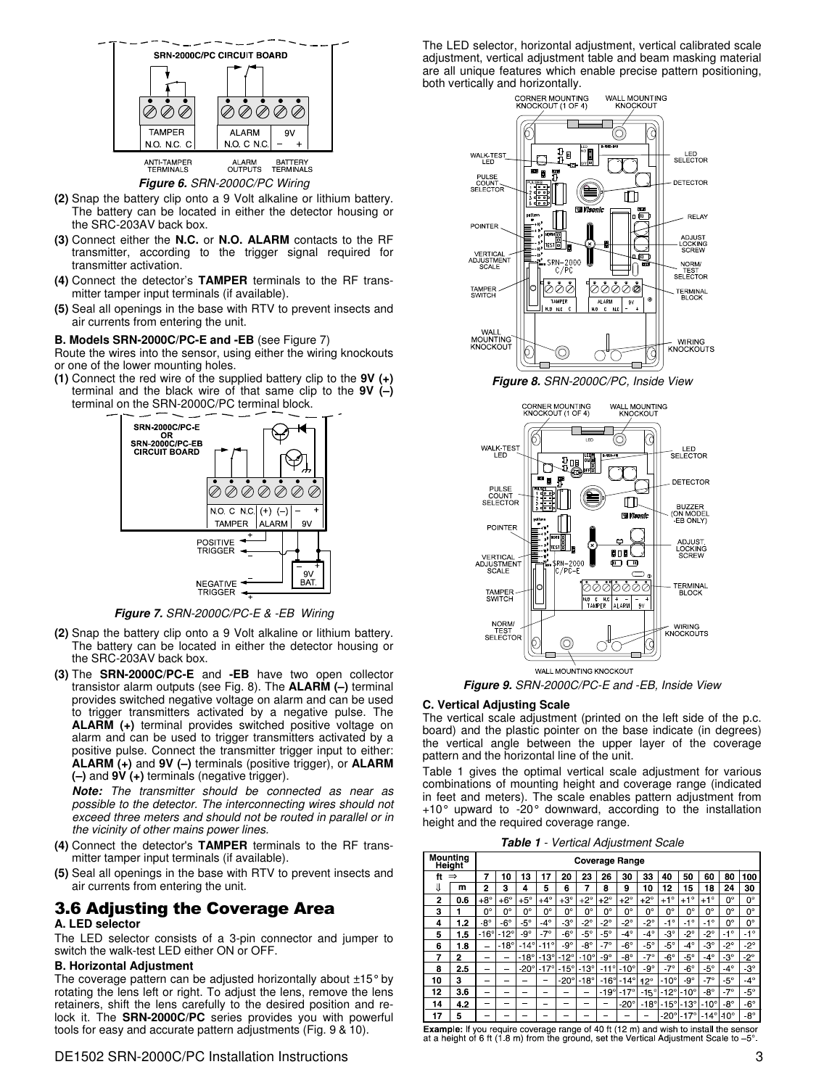

#### **Figure 6.** SRN-2000C/PC Wiring

- **(2)** Snap the battery clip onto a 9 Volt alkaline or lithium battery. The battery can be located in either the detector housing or the SRC-203AV back box.
- **(3)** Connect either the **N.C.** or **N.O. ALARM** contacts to the RF transmitter, according to the trigger signal required for transmitter activation.
- **(4)** Connect the detector's **TAMPER** terminals to the RF transmitter tamper input terminals (if available).
- **(5)** Seal all openings in the base with RTV to prevent insects and air currents from entering the unit.

#### **B. Models SRN-2000C/PC-E and -EB** (see Figure 7)

Route the wires into the sensor, using either the wiring knockouts or one of the lower mounting holes.

**(1)** Connect the red wire of the supplied battery clip to the **9V (+)** terminal and the black wire of that same clip to the **9V (–)** terminal on the SRN-2000C/PC terminal block.



**Figure 7.** SRN-2000C/PC-E & -EB Wiring

- **(2)** Snap the battery clip onto a 9 Volt alkaline or lithium battery. The battery can be located in either the detector housing or the SRC-203AV back box.
- **(3)** The **SRN-2000C/PC-E** and **-EB** have two open collector transistor alarm outputs (see Fig. 8). The **ALARM (–)** terminal provides switched negative voltage on alarm and can be used to trigger transmitters activated by a negative pulse. The **ALARM (+)** terminal provides switched positive voltage on alarm and can be used to trigger transmitters activated by a positive pulse. Connect the transmitter trigger input to either: **ALARM (+)** and **9V (–)** terminals (positive trigger), or **ALARM (–)** and **9V (+)** terminals (negative trigger).

**Note:** The transmitter should be connected as near as possible to the detector. The interconnecting wires should not exceed three meters and should not be routed in parallel or in the vicinity of other mains power lines.

- **(4)** Connect the detector's **TAMPER** terminals to the RF transmitter tamper input terminals (if available).
- **(5)** Seal all openings in the base with RTV to prevent insects and air currents from entering the unit.

### 3.6 Adjusting the Coverage Area **A. LED selector**

The LED selector consists of a 3-pin connector and jumper to switch the walk-test LED either ON or OFF.

#### **B. Horizontal Adjustment**

The coverage pattern can be adjusted horizontally about ±15° by rotating the lens left or right. To adjust the lens, remove the lens retainers, shift the lens carefully to the desired position and relock it. The **SRN-2000C/PC** series provides you with powerful tools for easy and accurate pattern adjustments (Fig. 9 & 10).

DE1502 SRN-2000C/PC Installation Instructions 3

The LED selector, horizontal adjustment, vertical calibrated scale adjustment, vertical adjustment table and beam masking material are all unique features which enable precise pattern positioning, both vertically and horizontally.



**Figure 8.** SRN-2000C/PC, Inside View



**Figure 9.** SRN-2000C/PC-E and -EB, Inside View

#### **C. Vertical Adjusting Scale**

The vertical scale adjustment (printed on the left side of the p.c. board) and the plastic pointer on the base indicate (in degrees) the vertical angle between the upper layer of the coverage pattern and the horizontal line of the unit.

Table 1 gives the optimal vertical scale adjustment for various combinations of mounting height and coverage range (indicated in feet and meters). The scale enables pattern adjustment from  $+10^{\circ}$  upward to -20° downward, according to the installation height and the required coverage range.

**Table 1** - Vertical Adjustment Scale

| Mounting<br><b>Height</b> |     | <b>Coverage Range</b> |               |             |               |             |               |                |               |              |              |               |               |               |              |
|---------------------------|-----|-----------------------|---------------|-------------|---------------|-------------|---------------|----------------|---------------|--------------|--------------|---------------|---------------|---------------|--------------|
| ft                        |     | 7                     | 10            | 3           | 17            | 20          | 23            | 26             | 30            | 33           | 40           | 50            | 60            | 80            | 100          |
|                           | m   | 2                     | 3             | 4           | 5             | 6           | 7             | 8              | 9             | 10           | 12           | 15            | 18            | 24            | 30           |
| $\overline{2}$            | 0.6 | $+8^\circ$            | $+6^\circ$    | $+5^\circ$  | $+4^\circ$    | $+3^\circ$  | $+2^{\circ}$  | $+2^{\circ}$   | $+2^\circ$    | $+2^\circ$   | $+1^\circ$   | $+1^{\circ}$  | $+1^\circ$    | 0°            | 0°           |
| 3                         |     | 0°                    | 0°            | 0°          | 0°            | 0°          | $0^{\circ}$   | 0°             | 0°            | $0^{\circ}$  | 0°           | 0°            | 0°            | 0°            | 0°           |
| 4                         | 1.2 | $8^{\circ}$           | $-6^{\circ}$  | $-5^\circ$  | $4^{\circ}$   | $3^\circ$   | $-2^{\circ}$  | $-2^{\circ}$   | $2^{\circ}$   | $-2^{\circ}$ | $-1^{\circ}$ | $-1^{\circ}$  | $-1^{\circ}$  | 0°            | 0°           |
| 5                         | 1.5 | $-16^\circ$           | $-12^{\circ}$ | $9^\circ$   | $7^\circ$     | $6^{\circ}$ | $-5^\circ$    | $-5^\circ$     | $4^\circ$     | $4^\circ$    | $3^\circ$    | $-2^\circ$    | $2^{\circ}$   | $\circ$<br>-1 | $-1^{\circ}$ |
| 6                         | 18  | -                     | $-18^\circ$   | $-14^\circ$ | $-11^{\circ}$ | $9^{\circ}$ | $8^{\circ}$   | $-7^\circ$     | $-6^\circ$    | $-5^\circ$   | $-5^\circ$   | $4^\circ$     | $3^\circ$     | $2^{\circ}$   | $2^{\circ}$  |
| 7                         | 2   | -                     |               | $-18^\circ$ | $-13^\circ$   | $-12^\circ$ | $-10^{\circ}$ | $-9^\circ$     | $8^\circ$     | $-7^\circ$   | $-6^{\circ}$ | $-5^\circ$    | $4^\circ$     | $-3^\circ$    | $-2^{\circ}$ |
| 8                         | 2.5 |                       |               | $-20^\circ$ | $-17^\circ$   | $-15^\circ$ | $-13^\circ$   | $\circ$<br>-11 | $-10^\circ$   | $-9^{\circ}$ | $-7^\circ$   | $-6^{\circ}$  | $-5^{\circ}$  | $-4^{\circ}$  | $3^{\circ}$  |
| 10                        | 3   | -                     |               |             |               | $-20^\circ$ | $-18^\circ$   | $-16^\circ$    | $-14^{\circ}$ | $12^{\circ}$ | $-10^\circ$  | $9^\circ$     | $-7^\circ$    | $-5^\circ$    | $4^\circ$    |
| 12                        | 3.6 |                       |               |             | -             | -           | -             | $-19^\circ$    | $-17^\circ$   | ۰<br>$-15$   | $-12^\circ$  | $-10^{\circ}$ | $8^{\circ}$   | $-7^\circ$    | $-5^\circ$   |
| 14                        | 4.2 | -                     | -             | _           |               | -           |               |                | $-20^\circ$   | $-18^\circ$  | $-15^\circ$  | $-13^\circ$   | $-10^{\circ}$ | $8^{\circ}$   | $6^{\circ}$  |
| 17                        | 5   |                       |               |             |               |             |               |                |               |              | $-20^\circ$  | $-17^\circ$   | $-14^\circ$   | $10^{\circ}$  | $8^{\circ}$  |

Example: If you require coverage range of 40 ft (12 m) and wish to install the sensor at a height of 6 ft  $(1, 8, m)$  from the ground, set the Vertical Adjustment Scale to  $-5^\circ$